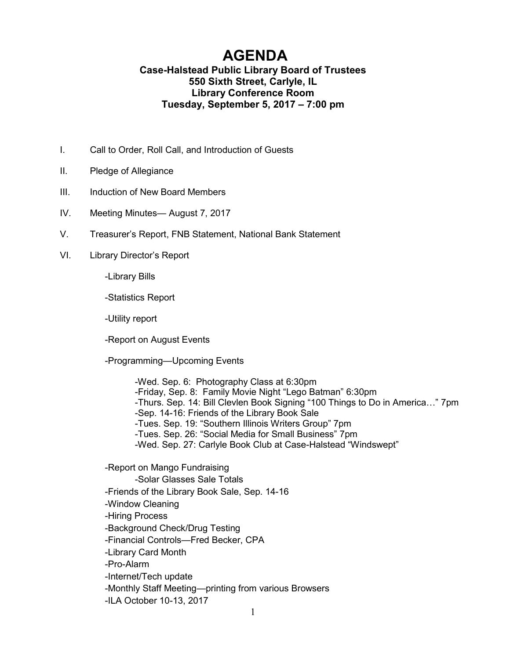## **AGENDA**

## **Case-Halstead Public Library Board of Trustees 550 Sixth Street, Carlyle, IL Library Conference Room Tuesday, September 5, 2017 – 7:00 pm**

- I. Call to Order, Roll Call, and Introduction of Guests
- II. Pledge of Allegiance
- III. Induction of New Board Members
- IV. Meeting Minutes— August 7, 2017
- V. Treasurer's Report, FNB Statement, National Bank Statement
- VI. Library Director's Report

-Library Bills

-Statistics Report

-Utility report

-Report on August Events

-Programming—Upcoming Events

-Wed. Sep. 6: Photography Class at 6:30pm -Friday, Sep. 8: Family Movie Night "Lego Batman" 6:30pm -Thurs. Sep. 14: Bill Clevlen Book Signing "100 Things to Do in America…" 7pm -Sep. 14-16: Friends of the Library Book Sale -Tues. Sep. 19: "Southern Illinois Writers Group" 7pm -Tues. Sep. 26: "Social Media for Small Business" 7pm -Wed. Sep. 27: Carlyle Book Club at Case-Halstead "Windswept"

-Report on Mango Fundraising -Solar Glasses Sale Totals -Friends of the Library Book Sale, Sep. 14-16 -Window Cleaning -Hiring Process -Background Check/Drug Testing -Financial Controls—Fred Becker, CPA -Library Card Month -Pro-Alarm -Internet/Tech update -Monthly Staff Meeting—printing from various Browsers -ILA October 10-13, 2017